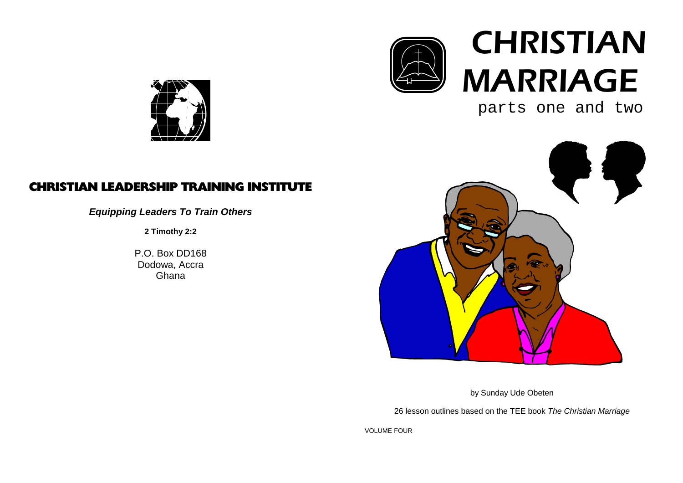

# **CHRISTIAN** MARRIAGE

parts one and two



## CHRISTIAN LEADERSHIP TRAINING INSTITUTE

**Equipping Leaders To Train Others**

**2 Timothy 2:2**

P.O. Box DD168 Dodowa, AccraGhana



by Sunday Ude Obeten

26 lesson outlines based on the TEE book The Christian Marriage

VOLUME FOUR